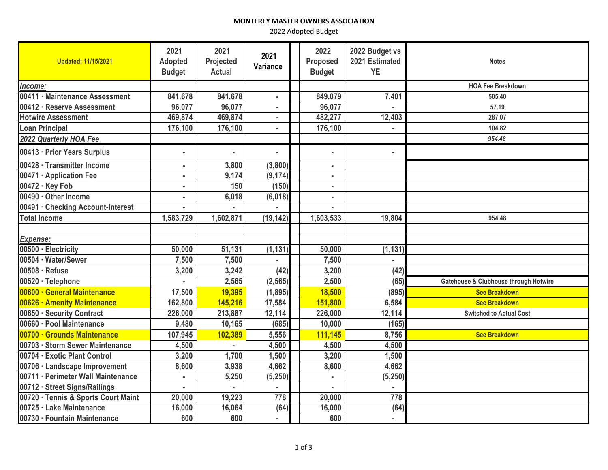## **MONTEREY MASTER OWNERS ASSOCIATION**

2022 Adopted Budget

| <b>Updated: 11/15/2021</b>          | 2021<br><b>Adopted</b><br><b>Budget</b> | 2021<br>Projected<br><b>Actual</b> | 2021<br>Variance | 2022<br><b>Proposed</b><br><b>Budget</b> | 2022 Budget vs<br>2021 Estimated<br><b>YE</b> | <b>Notes</b>                          |
|-------------------------------------|-----------------------------------------|------------------------------------|------------------|------------------------------------------|-----------------------------------------------|---------------------------------------|
| Income:                             |                                         |                                    |                  |                                          |                                               | <b>HOA Fee Breakdown</b>              |
| 00411 · Maintenance Assessment      | 841,678                                 | 841,678                            | ٠                | 849,079                                  | 7,401                                         | 505.40                                |
| 00412 · Reserve Assessment          | 96,077                                  | 96,077                             | ٠                | 96,077                                   |                                               | 57.19                                 |
| <b>Hotwire Assessment</b>           | 469,874                                 | 469,874                            | ٠                | 482,277                                  | 12,403                                        | 287.07                                |
| <b>Loan Principal</b>               | 176,100                                 | 176,100                            |                  | 176,100                                  |                                               | 104.82                                |
| 2022 Quarterly HOA Fee              |                                         |                                    |                  |                                          |                                               | 954.48                                |
| 00413 · Prior Years Surplus         | ä,                                      | $\alpha$                           | $\blacksquare$   | $\blacksquare$                           | $\sim$                                        |                                       |
| 00428 · Transmitter Income          |                                         | 3,800                              | (3,800)          |                                          |                                               |                                       |
| 00471 · Application Fee             |                                         | 9,174                              | (9, 174)         |                                          |                                               |                                       |
| 00472 · Key Fob                     |                                         | 150                                | (150)            |                                          |                                               |                                       |
| 00490 · Other Income                |                                         | 6,018                              | (6,018)          | ٠                                        |                                               |                                       |
| 00491 · Checking Account-Interest   |                                         |                                    |                  | $\blacksquare$                           |                                               |                                       |
| <b>Total Income</b>                 | 1,583,729                               | 1,602,871                          | (19, 142)        | 1,603,533                                | 19,804                                        | 954.48                                |
|                                     |                                         |                                    |                  |                                          |                                               |                                       |
| Expense:                            |                                         |                                    |                  |                                          |                                               |                                       |
| 00500 · Electricity                 | 50,000                                  | 51,131                             | (1, 131)         | 50,000                                   | (1, 131)                                      |                                       |
| 00504 · Water/Sewer                 | 7,500                                   | 7,500                              |                  | 7,500                                    |                                               |                                       |
| 00508 · Refuse                      | 3,200                                   | 3,242                              | (42)             | 3,200                                    | (42)                                          |                                       |
| 00520 · Telephone                   |                                         | 2,565                              | (2, 565)         | 2,500                                    | (65)                                          | Gatehouse & Clubhouse through Hotwire |
| 00600 · General Maintenance         | 17,500                                  | 19,395                             | (1, 895)         | 18,500                                   | (895)                                         | <b>See Breakdown</b>                  |
| 00626 · Amenity Maintenance         | 162,800                                 | 145,216                            | 17,584           | 151,800                                  | 6,584                                         | <b>See Breakdown</b>                  |
| 00650 · Security Contract           | 226,000                                 | 213,887                            | 12,114           | 226,000                                  | 12,114                                        | <b>Switched to Actual Cost</b>        |
| 00660 · Pool Maintenance            | 9,480                                   | 10,165                             | (685)            | 10,000                                   | (165)                                         |                                       |
| 00700 · Grounds Maintenance         | 107,945                                 | 102,389                            | 5,556            | 111,145                                  | 8,756                                         | <b>See Breakdown</b>                  |
| 00703 · Storm Sewer Maintenance     | 4,500                                   |                                    | 4,500            | 4,500                                    | 4,500                                         |                                       |
| 00704 · Exotic Plant Control        | 3,200                                   | 1,700                              | 1,500            | 3,200                                    | 1,500                                         |                                       |
| 00706 · Landscape Improvement       | 8,600                                   | 3,938                              | 4,662            | 8,600                                    | 4,662                                         |                                       |
| 00711 · Perimeter Wall Maintenance  |                                         | 5,250                              | (5, 250)         | ٠                                        | (5, 250)                                      |                                       |
| 00712 · Street Signs/Railings       | ä,                                      |                                    |                  | $\blacksquare$                           | $\blacksquare$                                |                                       |
| 00720 · Tennis & Sports Court Maint | 20,000                                  | 19,223                             | 778              | 20,000                                   | 778                                           |                                       |
| 00725 · Lake Maintenance            | 16,000                                  | 16,064                             | (64)             | 16,000                                   | (64)                                          |                                       |
| 00730 · Fountain Maintenance        | 600                                     | 600                                |                  | 600                                      | ٠                                             |                                       |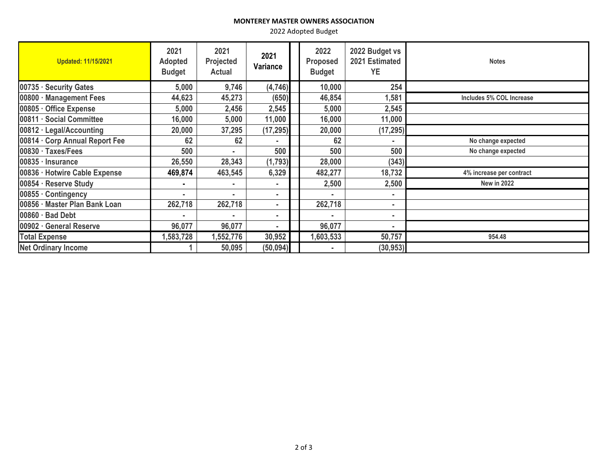## **MONTEREY MASTER OWNERS ASSOCIATION**

2022 Adopted Budget

| <b>Updated: 11/15/2021</b>     | 2021<br><b>Adopted</b><br><b>Budget</b> | 2021<br>Projected<br><b>Actual</b> | 2021<br>Variance | 2022<br><b>Proposed</b><br><b>Budget</b> | 2022 Budget vs<br>2021 Estimated<br><b>YE</b> | <b>Notes</b>             |
|--------------------------------|-----------------------------------------|------------------------------------|------------------|------------------------------------------|-----------------------------------------------|--------------------------|
| 00735 · Security Gates         | 5,000                                   | 9,746                              | (4,746)          | 10,000                                   | 254                                           |                          |
| 00800 · Management Fees        | 44,623                                  | 45,273                             | (650)            | 46,854                                   | 1,581                                         | Includes 5% COL Increase |
| 00805 · Office Expense         | 5,000                                   | 2,456                              | 2,545            | 5,000                                    | 2,545                                         |                          |
| 00811 · Social Committee       | 16,000                                  | 5,000                              | 11,000           | 16,000                                   | 11,000                                        |                          |
| $00812 \cdot$ Legal/Accounting | 20,000                                  | 37,295                             | (17, 295)        | 20,000                                   | (17, 295)                                     |                          |
| 00814 · Corp Annual Report Fee | 62                                      | 62                                 |                  | 62                                       |                                               | No change expected       |
| $00830 \cdot$ Taxes/Fees       | 500                                     |                                    | 500              | 500                                      | 500                                           | No change expected       |
| 00835 · Insurance              | 26,550                                  | 28,343                             | (1, 793)         | 28,000                                   | (343)                                         |                          |
| 00836 · Hotwire Cable Expense  | 469,874                                 | 463,545                            | 6,329            | 482,277                                  | 18,732                                        | 4% increase per contract |
| 00854 · Reserve Study          |                                         | ۰                                  | ٠                | 2,500                                    | 2,500                                         | <b>New in 2022</b>       |
| $00855 \cdot$ Contingency      |                                         | ۰                                  | ۰.               |                                          | ٠                                             |                          |
| 00856 · Master Plan Bank Loan  | 262,718                                 | 262,718                            | ۰.               | 262,718                                  | ٠                                             |                          |
| 00860 · Bad Debt               |                                         |                                    | ۰                |                                          | ٠                                             |                          |
| 00902 · General Reserve        | 96,077                                  | 96,077                             |                  | 96,077                                   |                                               |                          |
| <b>Total Expense</b>           | 1,583,728                               | 1,552,776                          | 30,952           | 1,603,533                                | 50,757                                        | 954.48                   |
| <b>Net Ordinary Income</b>     |                                         | 50,095                             | (50, 094)        |                                          | (30, 953)                                     |                          |